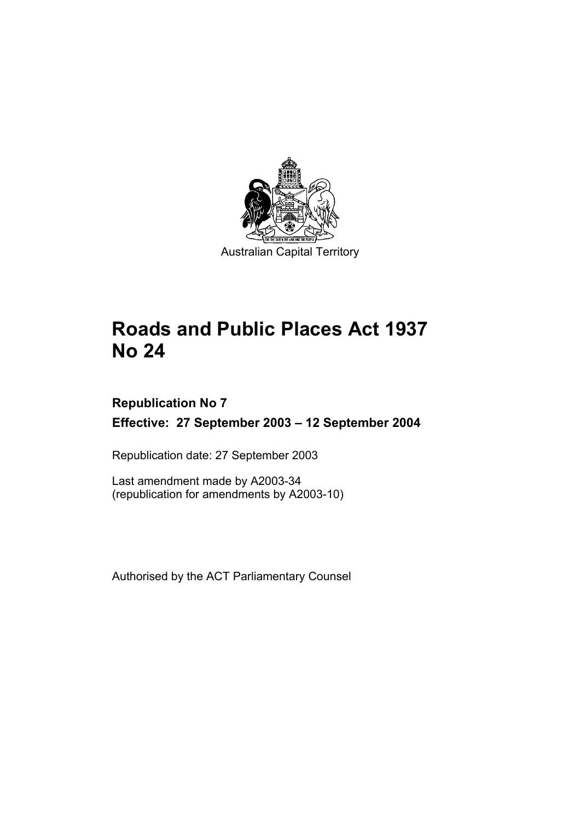

# **Roads and Public Places Act 1937 No 24**

# **Republication No 7 Effective: 27 September 2003 – 12 September 2004**

Republication date: 27 September 2003

Last amendment made by A2003-34 (republication for amendments by A2003-10)

Authorised by the ACT Parliamentary Counsel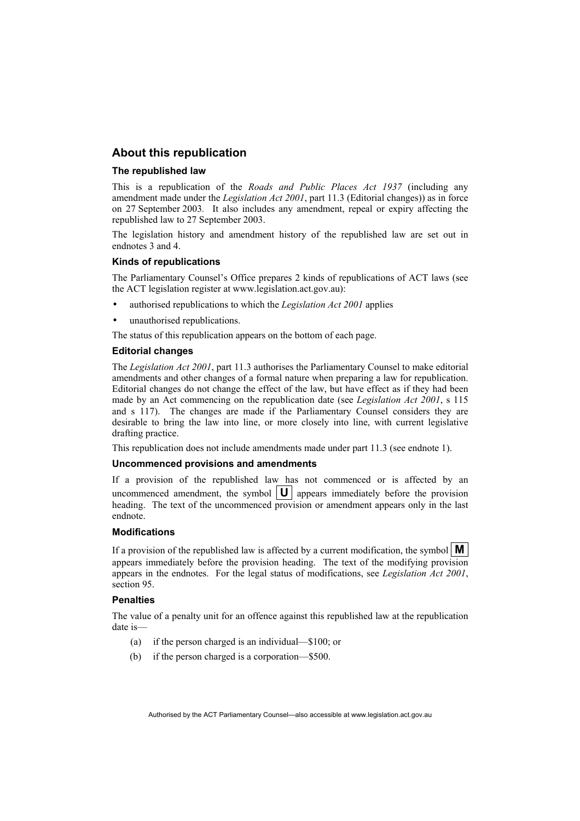### **About this republication**

#### **The republished law**

This is a republication of the *Roads and Public Places Act 1937* (including any amendment made under the *Legislation Act 2001*, part 11.3 (Editorial changes)) as in force on 27 September 2003*.* It also includes any amendment, repeal or expiry affecting the republished law to 27 September 2003.

The legislation history and amendment history of the republished law are set out in endnotes 3 and 4.

#### **Kinds of republications**

The Parliamentary Counsel's Office prepares 2 kinds of republications of ACT laws (see the ACT legislation register at www.legislation.act.gov.au):

- authorised republications to which the *Legislation Act 2001* applies
- unauthorised republications.

The status of this republication appears on the bottom of each page.

#### **Editorial changes**

The *Legislation Act 2001*, part 11.3 authorises the Parliamentary Counsel to make editorial amendments and other changes of a formal nature when preparing a law for republication. Editorial changes do not change the effect of the law, but have effect as if they had been made by an Act commencing on the republication date (see *Legislation Act 2001*, s 115 and s 117). The changes are made if the Parliamentary Counsel considers they are desirable to bring the law into line, or more closely into line, with current legislative drafting practice.

This republication does not include amendments made under part 11.3 (see endnote 1).

#### **Uncommenced provisions and amendments**

If a provision of the republished law has not commenced or is affected by an uncommenced amendment, the symbol  $\|\mathbf{U}\|$  appears immediately before the provision heading. The text of the uncommenced provision or amendment appears only in the last endnote.

#### **Modifications**

If a provision of the republished law is affected by a current modification, the symbol  $\mathbf{M}$ appears immediately before the provision heading. The text of the modifying provision appears in the endnotes. For the legal status of modifications, see *Legislation Act 2001*, section 95.

#### **Penalties**

The value of a penalty unit for an offence against this republished law at the republication date is—

- (a) if the person charged is an individual—\$100; or
- (b) if the person charged is a corporation—\$500.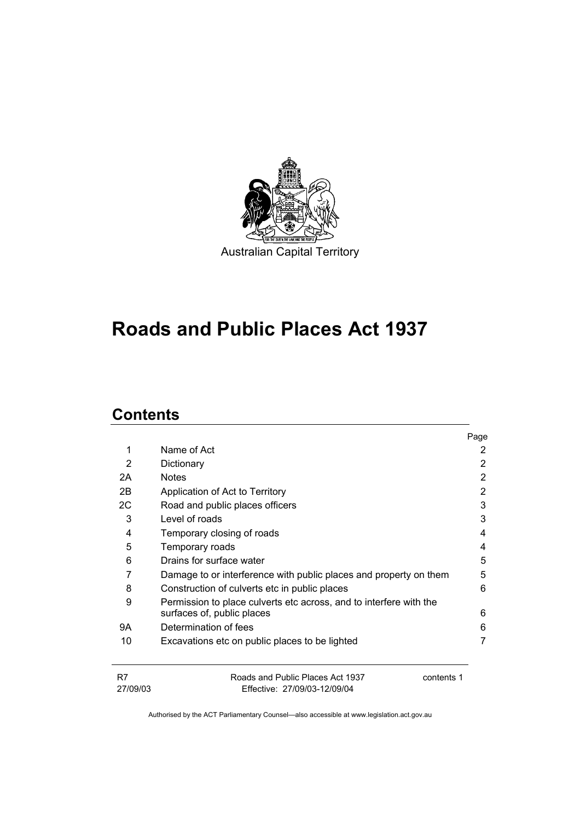

# **Roads and Public Places Act 1937**

# **Contents**

|          |                                                                    | Page |
|----------|--------------------------------------------------------------------|------|
| 1        | Name of Act                                                        | 2    |
| 2        | Dictionary                                                         | 2    |
| 2A       | <b>Notes</b>                                                       | 2    |
| 2B       | Application of Act to Territory                                    | 2    |
| 2C       | Road and public places officers                                    | 3    |
| 3        | Level of roads                                                     | 3    |
| 4        | Temporary closing of roads                                         | 4    |
| 5        | Temporary roads                                                    | 4    |
| 6        | Drains for surface water                                           | 5    |
| 7        | Damage to or interference with public places and property on them  | 5    |
| 8        | Construction of culverts etc in public places                      | 6    |
| 9        | Permission to place culverts etc across, and to interfere with the | 6    |
| 9Α       | surfaces of, public places<br>Determination of fees                | 6    |
|          |                                                                    |      |
| 10       | Excavations etc on public places to be lighted                     | 7    |
| R7       | Roads and Public Places Act 1937<br>contents 1                     |      |
| 27/09/03 | Effective: 27/09/03-12/09/04                                       |      |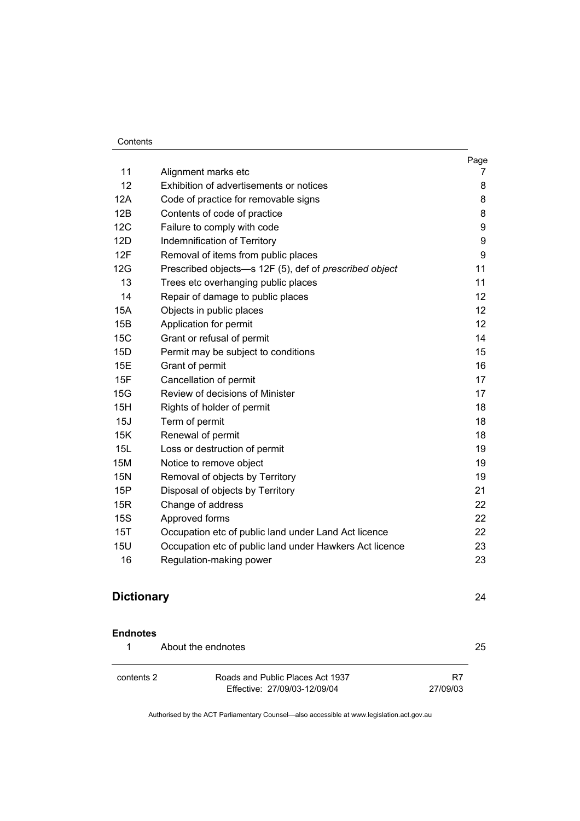#### Contents

|            |                                                         | Page |
|------------|---------------------------------------------------------|------|
| 11         | Alignment marks etc                                     | 7    |
| 12         | Exhibition of advertisements or notices                 | 8    |
| 12A        | Code of practice for removable signs                    | 8    |
| 12B        | Contents of code of practice                            | 8    |
| 12C        | Failure to comply with code                             | 9    |
| 12D        | Indemnification of Territory                            | 9    |
| 12F        | Removal of items from public places                     | 9    |
| 12G        | Prescribed objects-s 12F (5), def of prescribed object  | 11   |
| 13         | Trees etc overhanging public places                     | 11   |
| 14         | Repair of damage to public places                       | 12   |
| 15A        | Objects in public places                                | 12   |
| 15B        | Application for permit                                  | 12   |
| 15C        | Grant or refusal of permit                              | 14   |
| 15D        | Permit may be subject to conditions                     | 15   |
| 15E        | Grant of permit                                         | 16   |
| 15F        | Cancellation of permit                                  | 17   |
| 15G        | Review of decisions of Minister                         | 17   |
| 15H        | Rights of holder of permit                              | 18   |
| 15J        | Term of permit                                          | 18   |
| 15K        | Renewal of permit                                       | 18   |
| 15L        | Loss or destruction of permit                           | 19   |
| 15M        | Notice to remove object                                 | 19   |
| 15N        | Removal of objects by Territory                         | 19   |
| 15P        | Disposal of objects by Territory                        | 21   |
| 15R        | Change of address                                       | 22   |
| 15S        | Approved forms                                          | 22   |
| 15T        | Occupation etc of public land under Land Act licence    | 22   |
| <b>15U</b> | Occupation etc of public land under Hawkers Act licence | 23   |
| 16         | Regulation-making power                                 | 23   |
|            |                                                         |      |

# **Dictionary** 24

**Endnotes**

| About the endnotes |                                  | 25       |
|--------------------|----------------------------------|----------|
| contents 2         | Roads and Public Places Act 1937 | R7       |
|                    | Effective: 27/09/03-12/09/04     | 27/09/03 |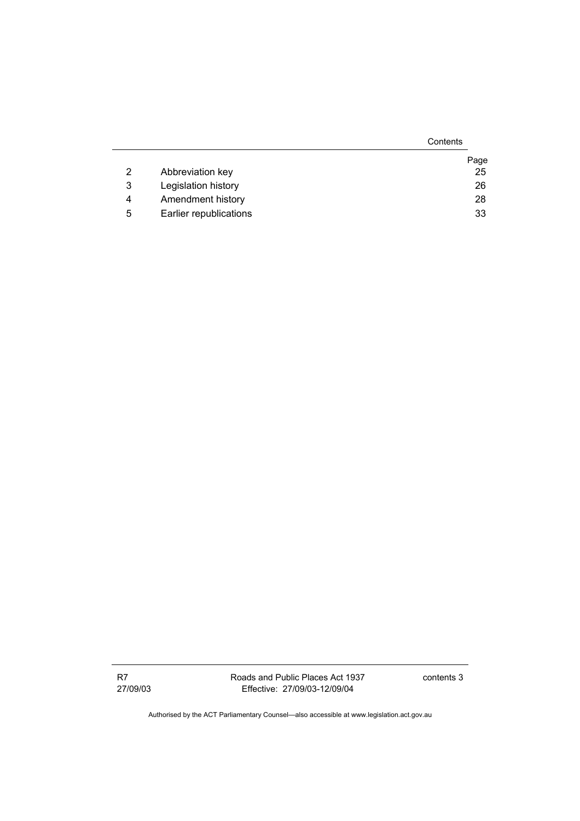|   |                        | Contents |
|---|------------------------|----------|
|   |                        | Page     |
| 2 | Abbreviation key       | 25       |
| 3 | Legislation history    | 26       |
| 4 | Amendment history      | 28       |
| 5 | Earlier republications | 33       |

Roads and Public Places Act 1937 Effective: 27/09/03-12/09/04

contents 3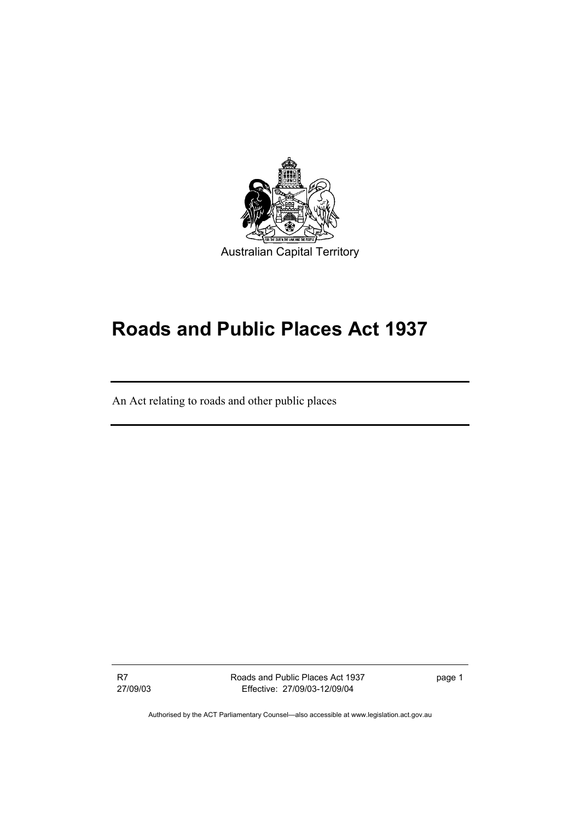

# **Roads and Public Places Act 1937**

An Act relating to roads and other public places

R7 27/09/03 Roads and Public Places Act 1937 Effective: 27/09/03-12/09/04

page 1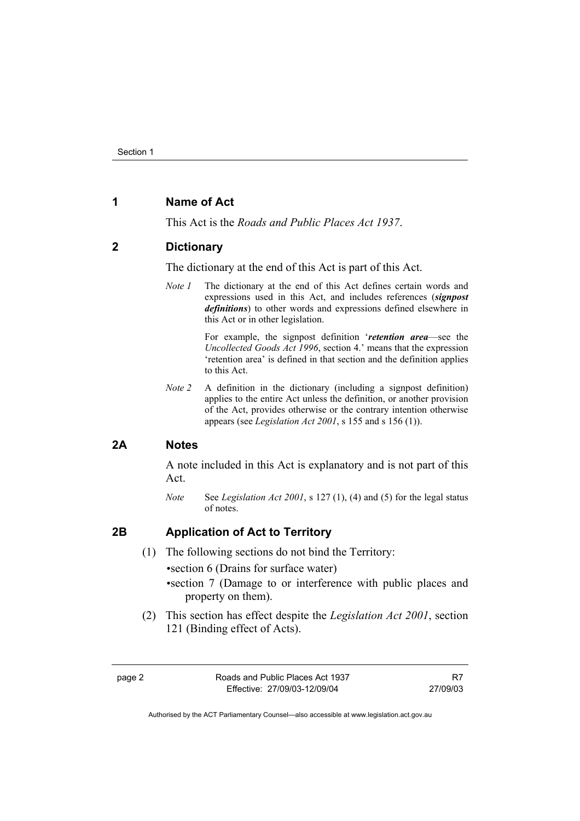# **1 Name of Act**

This Act is the *Roads and Public Places Act 1937*.

#### **2 Dictionary**

The dictionary at the end of this Act is part of this Act.

*Note 1* The dictionary at the end of this Act defines certain words and expressions used in this Act, and includes references (*signpost definitions*) to other words and expressions defined elsewhere in this Act or in other legislation.

> For example, the signpost definition '*retention area*—see the *Uncollected Goods Act 1996*, section 4.' means that the expression 'retention area' is defined in that section and the definition applies to this Act.

*Note 2* A definition in the dictionary (including a signpost definition) applies to the entire Act unless the definition, or another provision of the Act, provides otherwise or the contrary intention otherwise appears (see *Legislation Act 2001*, s 155 and s 156 (1)).

# **2A Notes**

A note included in this Act is explanatory and is not part of this Act.

*Note* See *Legislation Act 2001*, s 127 (1), (4) and (5) for the legal status of notes.

# **2B Application of Act to Territory**

(1) The following sections do not bind the Territory:

• section 6 (Drains for surface water)

- section 7 (Damage to or interference with public places and property on them).
- (2) This section has effect despite the *Legislation Act 2001*, section 121 (Binding effect of Acts).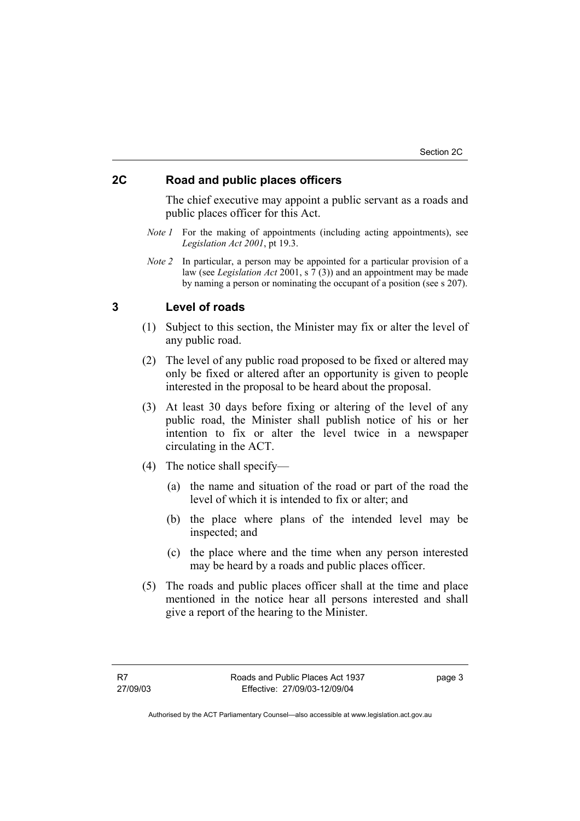# **2C Road and public places officers**

The chief executive may appoint a public servant as a roads and public places officer for this Act.

- *Note 1* For the making of appointments (including acting appointments), see *Legislation Act 2001*, pt 19.3.
- *Note 2* In particular, a person may be appointed for a particular provision of a law (see *Legislation Act* 2001, s 7 (3)) and an appointment may be made by naming a person or nominating the occupant of a position (see s 207).

#### **3 Level of roads**

- (1) Subject to this section, the Minister may fix or alter the level of any public road.
- (2) The level of any public road proposed to be fixed or altered may only be fixed or altered after an opportunity is given to people interested in the proposal to be heard about the proposal.
- (3) At least 30 days before fixing or altering of the level of any public road, the Minister shall publish notice of his or her intention to fix or alter the level twice in a newspaper circulating in the ACT.
- (4) The notice shall specify—
	- (a) the name and situation of the road or part of the road the level of which it is intended to fix or alter; and
	- (b) the place where plans of the intended level may be inspected; and
	- (c) the place where and the time when any person interested may be heard by a roads and public places officer.
- (5) The roads and public places officer shall at the time and place mentioned in the notice hear all persons interested and shall give a report of the hearing to the Minister.

page 3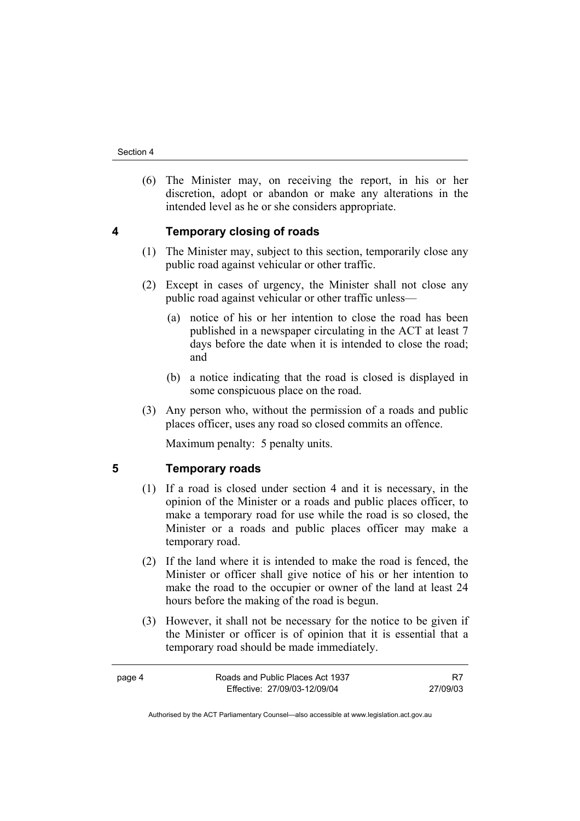(6) The Minister may, on receiving the report, in his or her discretion, adopt or abandon or make any alterations in the intended level as he or she considers appropriate.

# **4 Temporary closing of roads**

- (1) The Minister may, subject to this section, temporarily close any public road against vehicular or other traffic.
- (2) Except in cases of urgency, the Minister shall not close any public road against vehicular or other traffic unless—
	- (a) notice of his or her intention to close the road has been published in a newspaper circulating in the ACT at least 7 days before the date when it is intended to close the road; and
	- (b) a notice indicating that the road is closed is displayed in some conspicuous place on the road.
- (3) Any person who, without the permission of a roads and public places officer, uses any road so closed commits an offence.

Maximum penalty: 5 penalty units.

**5 Temporary roads** 

- (1) If a road is closed under section 4 and it is necessary, in the opinion of the Minister or a roads and public places officer, to make a temporary road for use while the road is so closed, the Minister or a roads and public places officer may make a temporary road.
- (2) If the land where it is intended to make the road is fenced, the Minister or officer shall give notice of his or her intention to make the road to the occupier or owner of the land at least 24 hours before the making of the road is begun.
- (3) However, it shall not be necessary for the notice to be given if the Minister or officer is of opinion that it is essential that a temporary road should be made immediately.

| page 4 | Roads and Public Places Act 1937 |          |
|--------|----------------------------------|----------|
|        | Effective: 27/09/03-12/09/04     | 27/09/03 |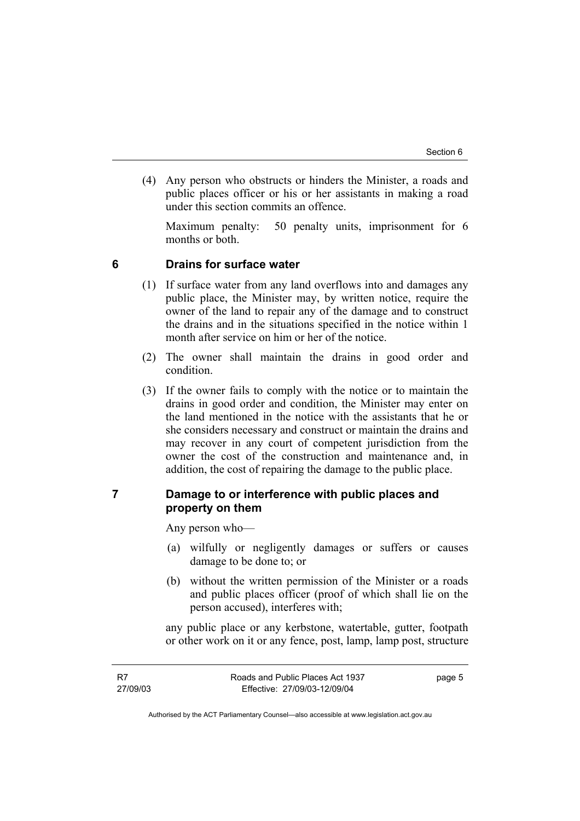(4) Any person who obstructs or hinders the Minister, a roads and public places officer or his or her assistants in making a road under this section commits an offence.

Maximum penalty: 50 penalty units, imprisonment for 6 months or both.

## **6 Drains for surface water**

- (1) If surface water from any land overflows into and damages any public place, the Minister may, by written notice, require the owner of the land to repair any of the damage and to construct the drains and in the situations specified in the notice within 1 month after service on him or her of the notice.
- (2) The owner shall maintain the drains in good order and condition.
- (3) If the owner fails to comply with the notice or to maintain the drains in good order and condition, the Minister may enter on the land mentioned in the notice with the assistants that he or she considers necessary and construct or maintain the drains and may recover in any court of competent jurisdiction from the owner the cost of the construction and maintenance and, in addition, the cost of repairing the damage to the public place.

# **7 Damage to or interference with public places and property on them**

Any person who—

- (a) wilfully or negligently damages or suffers or causes damage to be done to; or
- (b) without the written permission of the Minister or a roads and public places officer (proof of which shall lie on the person accused), interferes with;

any public place or any kerbstone, watertable, gutter, footpath or other work on it or any fence, post, lamp, lamp post, structure

page 5

Authorised by the ACT Parliamentary Counsel—also accessible at www.legislation.act.gov.au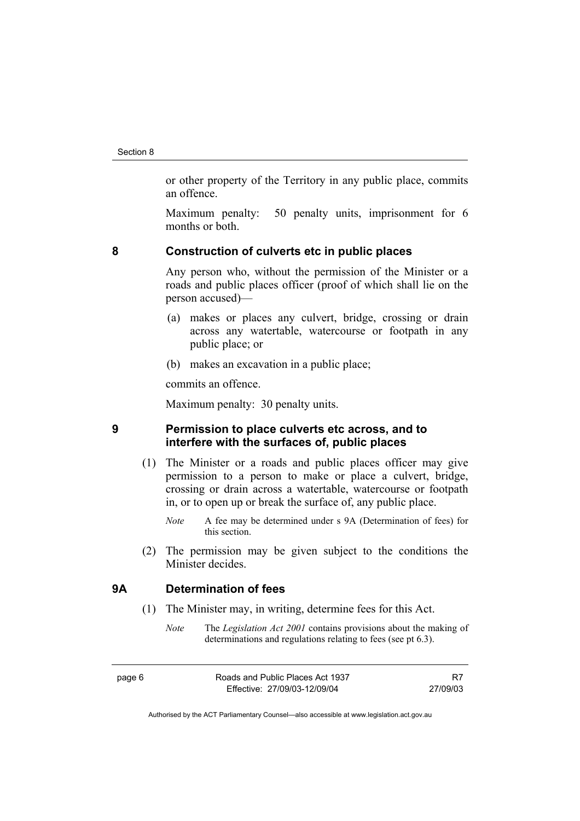or other property of the Territory in any public place, commits an offence.

Maximum penalty: 50 penalty units, imprisonment for 6 months or both.

#### **8 Construction of culverts etc in public places**

Any person who, without the permission of the Minister or a roads and public places officer (proof of which shall lie on the person accused)—

- (a) makes or places any culvert, bridge, crossing or drain across any watertable, watercourse or footpath in any public place; or
- (b) makes an excavation in a public place;

commits an offence.

Maximum penalty: 30 penalty units.

# **9 Permission to place culverts etc across, and to interfere with the surfaces of, public places**

- (1) The Minister or a roads and public places officer may give permission to a person to make or place a culvert, bridge, crossing or drain across a watertable, watercourse or footpath in, or to open up or break the surface of, any public place.
	- *Note* A fee may be determined under s 9A (Determination of fees) for this section.
- (2) The permission may be given subject to the conditions the Minister decides.

# **9A Determination of fees**

- (1) The Minister may, in writing, determine fees for this Act.
	- *Note* The *Legislation Act 2001* contains provisions about the making of determinations and regulations relating to fees (see pt 6.3).
- page 6 Roads and Public Places Act 1937 Effective: 27/09/03-12/09/04 R7 27/09/03
	- Authorised by the ACT Parliamentary Counsel—also accessible at www.legislation.act.gov.au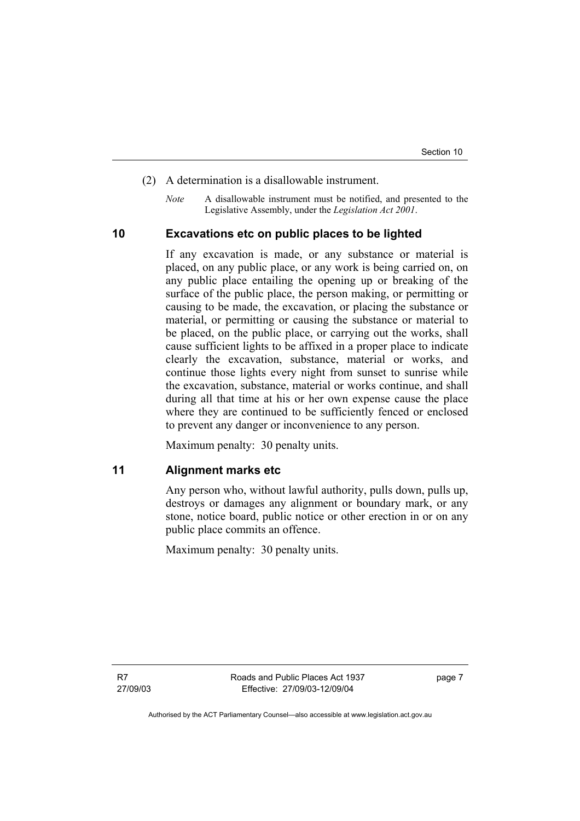- (2) A determination is a disallowable instrument.
	- *Note* A disallowable instrument must be notified, and presented to the Legislative Assembly, under the *Legislation Act 2001*.

# **10 Excavations etc on public places to be lighted**

If any excavation is made, or any substance or material is placed, on any public place, or any work is being carried on, on any public place entailing the opening up or breaking of the surface of the public place, the person making, or permitting or causing to be made, the excavation, or placing the substance or material, or permitting or causing the substance or material to be placed, on the public place, or carrying out the works, shall cause sufficient lights to be affixed in a proper place to indicate clearly the excavation, substance, material or works, and continue those lights every night from sunset to sunrise while the excavation, substance, material or works continue, and shall during all that time at his or her own expense cause the place where they are continued to be sufficiently fenced or enclosed to prevent any danger or inconvenience to any person.

Maximum penalty: 30 penalty units.

**11 Alignment marks etc** 

Any person who, without lawful authority, pulls down, pulls up, destroys or damages any alignment or boundary mark, or any stone, notice board, public notice or other erection in or on any public place commits an offence.

Maximum penalty: 30 penalty units.

R7 27/09/03 page 7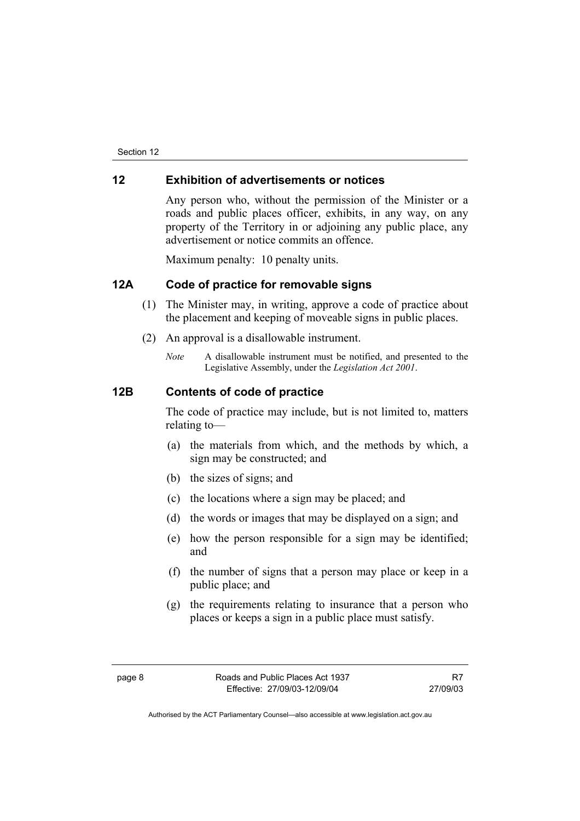## **12 Exhibition of advertisements or notices**

Any person who, without the permission of the Minister or a roads and public places officer, exhibits, in any way, on any property of the Territory in or adjoining any public place, any advertisement or notice commits an offence.

Maximum penalty: 10 penalty units.

# **12A Code of practice for removable signs**

- (1) The Minister may, in writing, approve a code of practice about the placement and keeping of moveable signs in public places.
- (2) An approval is a disallowable instrument.
	- *Note* A disallowable instrument must be notified, and presented to the Legislative Assembly, under the *Legislation Act 2001*.

# **12B Contents of code of practice**

The code of practice may include, but is not limited to, matters relating to—

- (a) the materials from which, and the methods by which, a sign may be constructed; and
- (b) the sizes of signs; and
- (c) the locations where a sign may be placed; and
- (d) the words or images that may be displayed on a sign; and
- (e) how the person responsible for a sign may be identified; and
- (f) the number of signs that a person may place or keep in a public place; and
- (g) the requirements relating to insurance that a person who places or keeps a sign in a public place must satisfy.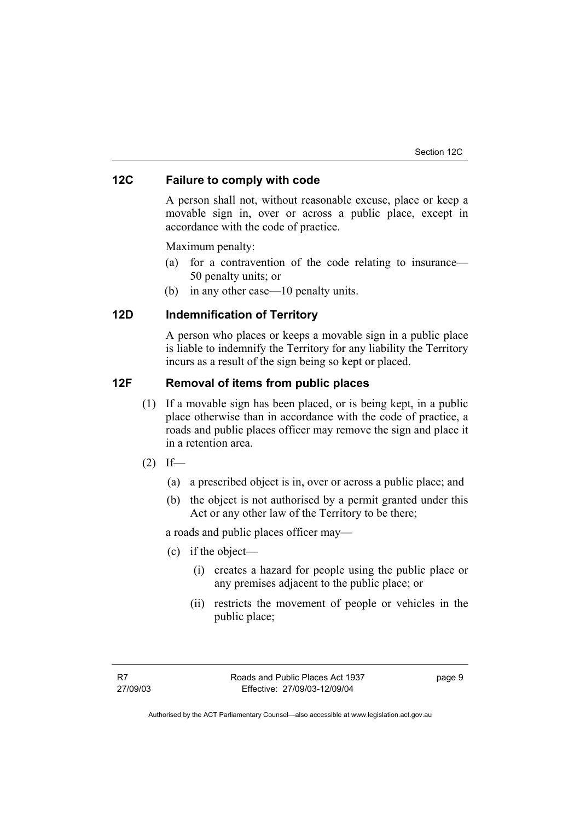# **12C Failure to comply with code**

A person shall not, without reasonable excuse, place or keep a movable sign in, over or across a public place, except in accordance with the code of practice.

Maximum penalty:

- (a) for a contravention of the code relating to insurance— 50 penalty units; or
- (b) in any other case—10 penalty units.

# **12D Indemnification of Territory**

A person who places or keeps a movable sign in a public place is liable to indemnify the Territory for any liability the Territory incurs as a result of the sign being so kept or placed.

# **12F Removal of items from public places**

- (1) If a movable sign has been placed, or is being kept, in a public place otherwise than in accordance with the code of practice, a roads and public places officer may remove the sign and place it in a retention area.
- $(2)$  If—
	- (a) a prescribed object is in, over or across a public place; and
	- (b) the object is not authorised by a permit granted under this Act or any other law of the Territory to be there;

a roads and public places officer may—

- (c) if the object—
	- (i) creates a hazard for people using the public place or any premises adjacent to the public place; or
	- (ii) restricts the movement of people or vehicles in the public place;

page 9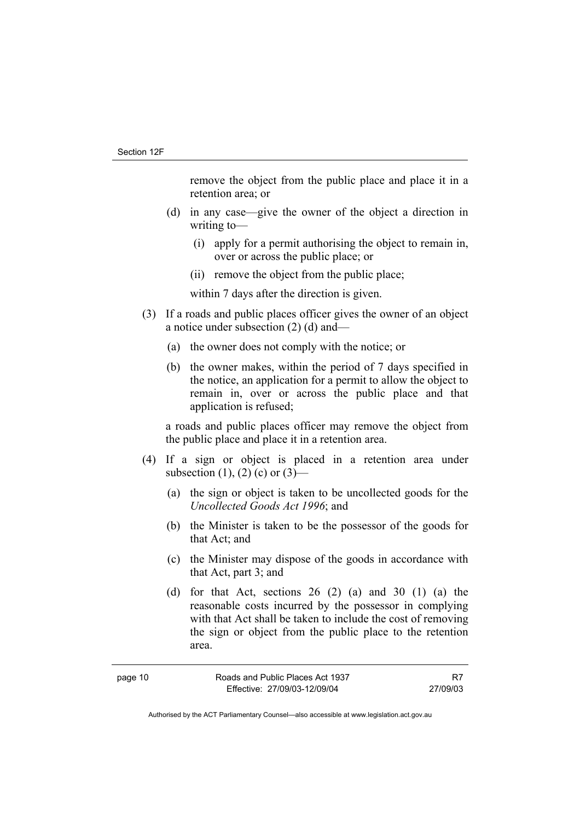remove the object from the public place and place it in a retention area; or

- (d) in any case—give the owner of the object a direction in writing to—
	- (i) apply for a permit authorising the object to remain in, over or across the public place; or
	- (ii) remove the object from the public place;

within 7 days after the direction is given.

- (3) If a roads and public places officer gives the owner of an object a notice under subsection (2) (d) and—
	- (a) the owner does not comply with the notice; or
	- (b) the owner makes, within the period of 7 days specified in the notice, an application for a permit to allow the object to remain in, over or across the public place and that application is refused;

a roads and public places officer may remove the object from the public place and place it in a retention area.

- (4) If a sign or object is placed in a retention area under subsection (1), (2) (c) or  $(3)$ —
	- (a) the sign or object is taken to be uncollected goods for the *Uncollected Goods Act 1996*; and
	- (b) the Minister is taken to be the possessor of the goods for that Act; and
	- (c) the Minister may dispose of the goods in accordance with that Act, part 3; and
	- (d) for that Act, sections  $26$  (2) (a) and  $30$  (1) (a) the reasonable costs incurred by the possessor in complying with that Act shall be taken to include the cost of removing the sign or object from the public place to the retention area.

| page 10 | Roads and Public Places Act 1937 |          |
|---------|----------------------------------|----------|
|         | Effective: 27/09/03-12/09/04     | 27/09/03 |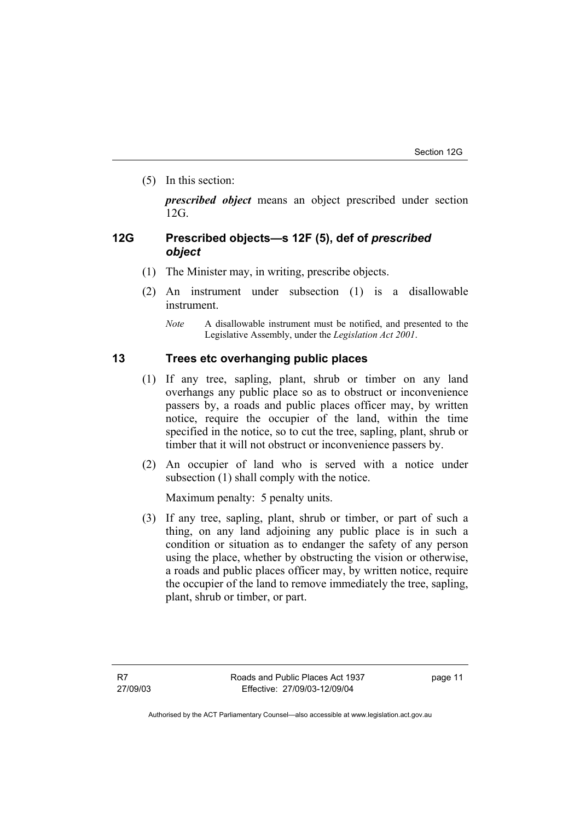(5) In this section:

*prescribed object* means an object prescribed under section 12G.

# **12G Prescribed objects—s 12F (5), def of** *prescribed object*

- (1) The Minister may, in writing, prescribe objects.
- (2) An instrument under subsection (1) is a disallowable instrument.
	- *Note* A disallowable instrument must be notified, and presented to the Legislative Assembly, under the *Legislation Act 2001*.

# **13 Trees etc overhanging public places**

- (1) If any tree, sapling, plant, shrub or timber on any land overhangs any public place so as to obstruct or inconvenience passers by, a roads and public places officer may, by written notice, require the occupier of the land, within the time specified in the notice, so to cut the tree, sapling, plant, shrub or timber that it will not obstruct or inconvenience passers by.
- (2) An occupier of land who is served with a notice under subsection (1) shall comply with the notice.

Maximum penalty: 5 penalty units.

 (3) If any tree, sapling, plant, shrub or timber, or part of such a thing, on any land adjoining any public place is in such a condition or situation as to endanger the safety of any person using the place, whether by obstructing the vision or otherwise, a roads and public places officer may, by written notice, require the occupier of the land to remove immediately the tree, sapling, plant, shrub or timber, or part.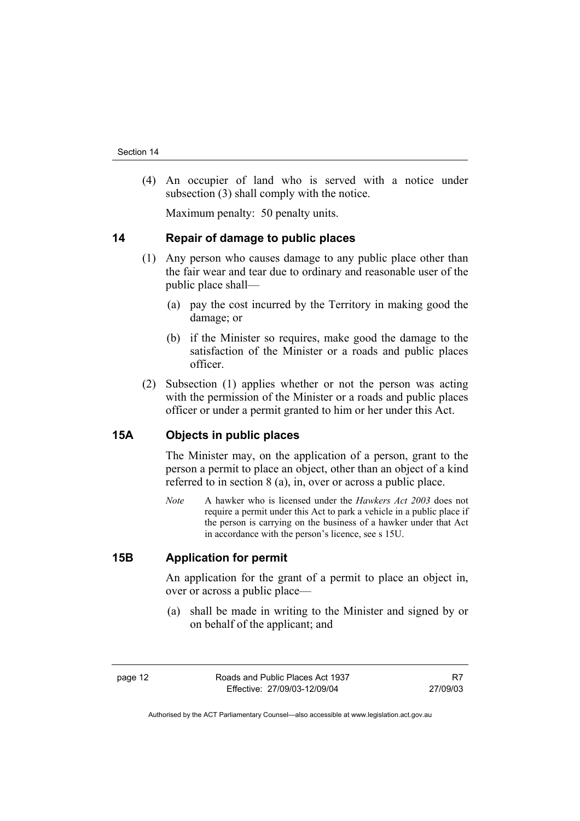(4) An occupier of land who is served with a notice under subsection (3) shall comply with the notice.

Maximum penalty: 50 penalty units.

#### **14 Repair of damage to public places**

- (1) Any person who causes damage to any public place other than the fair wear and tear due to ordinary and reasonable user of the public place shall—
	- (a) pay the cost incurred by the Territory in making good the damage; or
	- (b) if the Minister so requires, make good the damage to the satisfaction of the Minister or a roads and public places officer.
- (2) Subsection (1) applies whether or not the person was acting with the permission of the Minister or a roads and public places officer or under a permit granted to him or her under this Act.

# **15A Objects in public places**

The Minister may, on the application of a person, grant to the person a permit to place an object, other than an object of a kind referred to in section 8 (a), in, over or across a public place.

*Note* A hawker who is licensed under the *Hawkers Act 2003* does not require a permit under this Act to park a vehicle in a public place if the person is carrying on the business of a hawker under that Act in accordance with the person's licence, see s 15U.

#### **15B Application for permit**

An application for the grant of a permit to place an object in, over or across a public place—

 (a) shall be made in writing to the Minister and signed by or on behalf of the applicant; and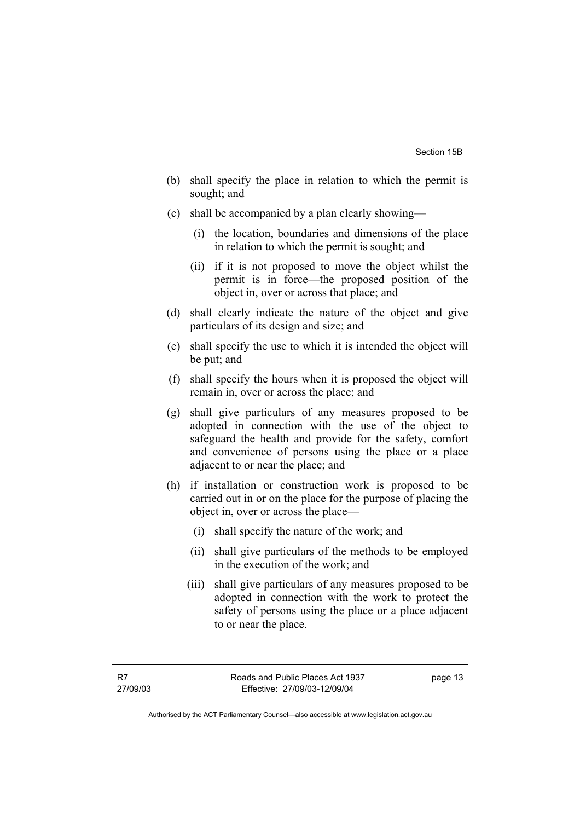- (b) shall specify the place in relation to which the permit is sought; and
- (c) shall be accompanied by a plan clearly showing—
	- (i) the location, boundaries and dimensions of the place in relation to which the permit is sought; and
	- (ii) if it is not proposed to move the object whilst the permit is in force—the proposed position of the object in, over or across that place; and
- (d) shall clearly indicate the nature of the object and give particulars of its design and size; and
- (e) shall specify the use to which it is intended the object will be put; and
- (f) shall specify the hours when it is proposed the object will remain in, over or across the place; and
- (g) shall give particulars of any measures proposed to be adopted in connection with the use of the object to safeguard the health and provide for the safety, comfort and convenience of persons using the place or a place adjacent to or near the place; and
- (h) if installation or construction work is proposed to be carried out in or on the place for the purpose of placing the object in, over or across the place—
	- (i) shall specify the nature of the work; and
	- (ii) shall give particulars of the methods to be employed in the execution of the work; and
	- (iii) shall give particulars of any measures proposed to be adopted in connection with the work to protect the safety of persons using the place or a place adjacent to or near the place.

page 13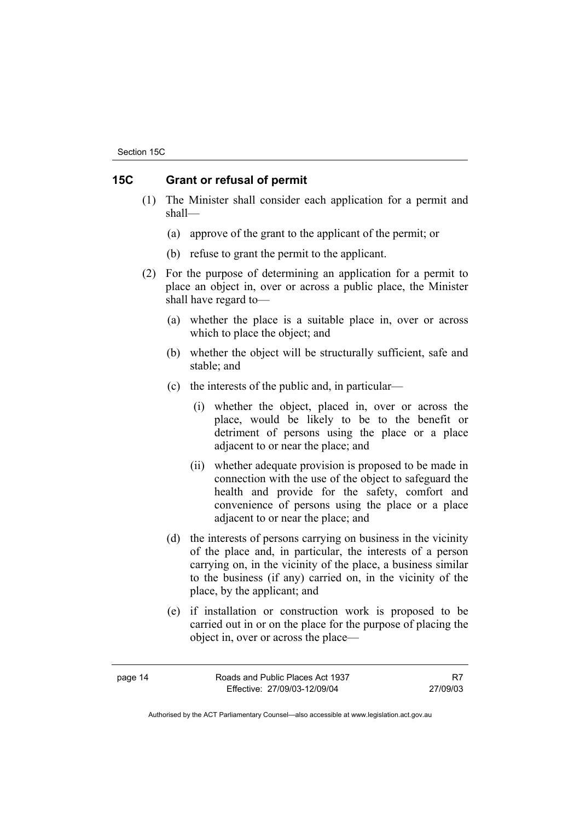Section 15C

# **15C Grant or refusal of permit**

- (1) The Minister shall consider each application for a permit and shall—
	- (a) approve of the grant to the applicant of the permit; or
	- (b) refuse to grant the permit to the applicant.
- (2) For the purpose of determining an application for a permit to place an object in, over or across a public place, the Minister shall have regard to—
	- (a) whether the place is a suitable place in, over or across which to place the object; and
	- (b) whether the object will be structurally sufficient, safe and stable; and
	- (c) the interests of the public and, in particular—
		- (i) whether the object, placed in, over or across the place, would be likely to be to the benefit or detriment of persons using the place or a place adjacent to or near the place; and
		- (ii) whether adequate provision is proposed to be made in connection with the use of the object to safeguard the health and provide for the safety, comfort and convenience of persons using the place or a place adjacent to or near the place; and
	- (d) the interests of persons carrying on business in the vicinity of the place and, in particular, the interests of a person carrying on, in the vicinity of the place, a business similar to the business (if any) carried on, in the vicinity of the place, by the applicant; and
	- (e) if installation or construction work is proposed to be carried out in or on the place for the purpose of placing the object in, over or across the place—

| page 14 | Roads and Public Places Act 1937 |          |
|---------|----------------------------------|----------|
|         | Effective: 27/09/03-12/09/04     | 27/09/03 |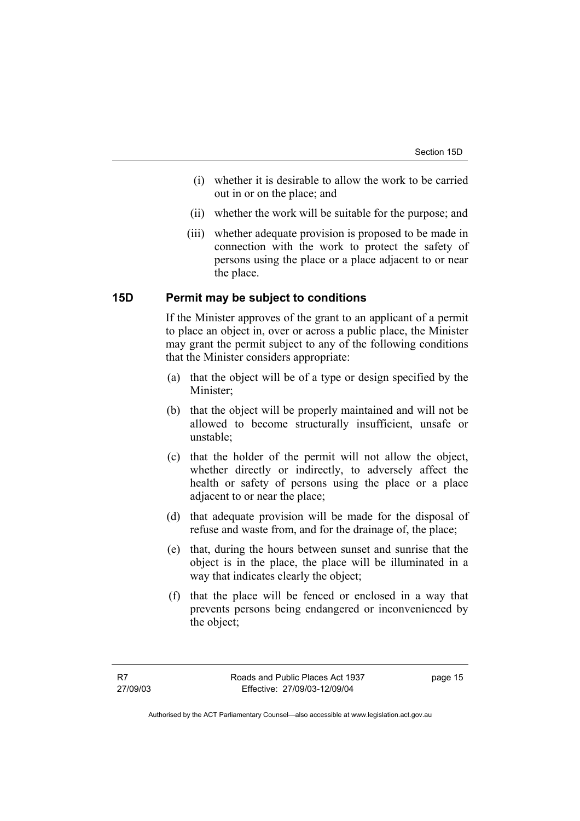- (i) whether it is desirable to allow the work to be carried out in or on the place; and
- (ii) whether the work will be suitable for the purpose; and
- (iii) whether adequate provision is proposed to be made in connection with the work to protect the safety of persons using the place or a place adjacent to or near the place.

#### **15D Permit may be subject to conditions**

If the Minister approves of the grant to an applicant of a permit to place an object in, over or across a public place, the Minister may grant the permit subject to any of the following conditions that the Minister considers appropriate:

- (a) that the object will be of a type or design specified by the Minister;
- (b) that the object will be properly maintained and will not be allowed to become structurally insufficient, unsafe or unstable;
- (c) that the holder of the permit will not allow the object, whether directly or indirectly, to adversely affect the health or safety of persons using the place or a place adjacent to or near the place;
- (d) that adequate provision will be made for the disposal of refuse and waste from, and for the drainage of, the place;
- (e) that, during the hours between sunset and sunrise that the object is in the place, the place will be illuminated in a way that indicates clearly the object;
- (f) that the place will be fenced or enclosed in a way that prevents persons being endangered or inconvenienced by the object;

page 15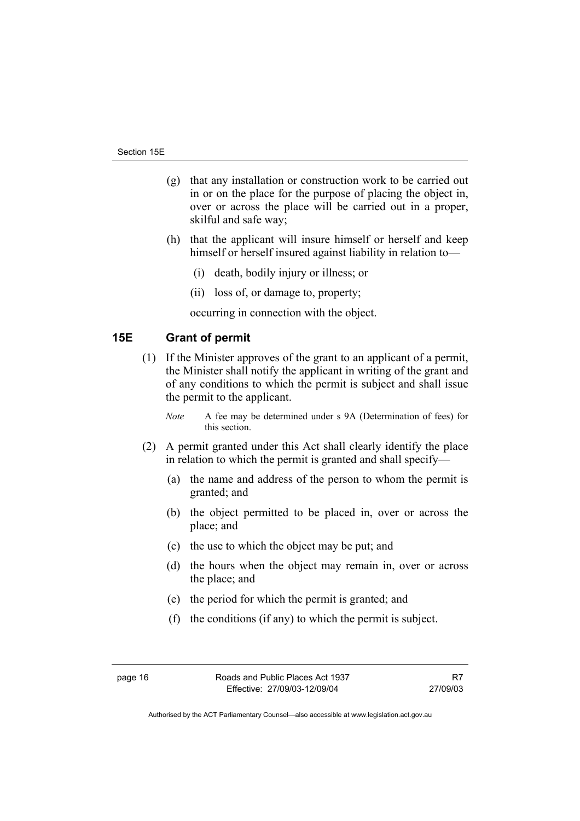- (g) that any installation or construction work to be carried out in or on the place for the purpose of placing the object in, over or across the place will be carried out in a proper, skilful and safe way;
- (h) that the applicant will insure himself or herself and keep himself or herself insured against liability in relation to—
	- (i) death, bodily injury or illness; or
	- (ii) loss of, or damage to, property;

occurring in connection with the object.

# **15E Grant of permit**

 (1) If the Minister approves of the grant to an applicant of a permit, the Minister shall notify the applicant in writing of the grant and of any conditions to which the permit is subject and shall issue the permit to the applicant.

*Note* A fee may be determined under s 9A (Determination of fees) for this section.

- (2) A permit granted under this Act shall clearly identify the place in relation to which the permit is granted and shall specify—
	- (a) the name and address of the person to whom the permit is granted; and
	- (b) the object permitted to be placed in, over or across the place; and
	- (c) the use to which the object may be put; and
	- (d) the hours when the object may remain in, over or across the place; and
	- (e) the period for which the permit is granted; and
	- (f) the conditions (if any) to which the permit is subject.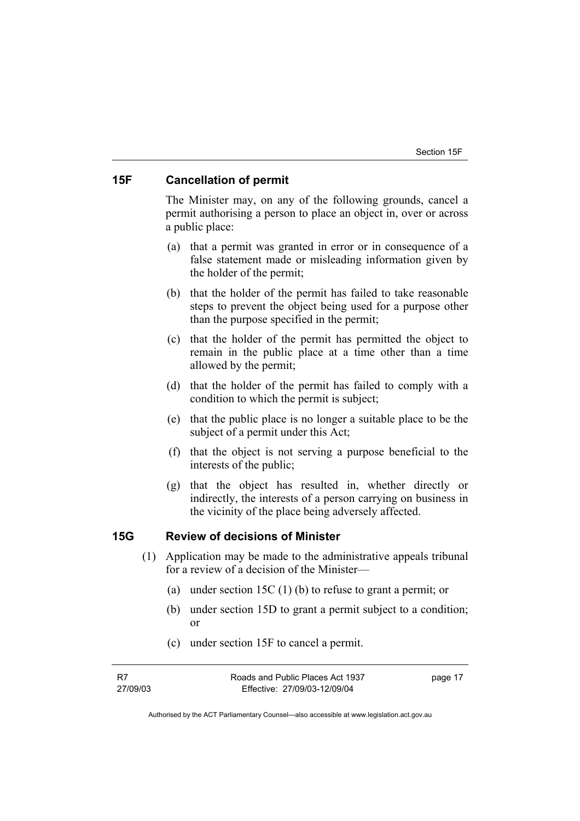## **15F Cancellation of permit**

The Minister may, on any of the following grounds, cancel a permit authorising a person to place an object in, over or across a public place:

- (a) that a permit was granted in error or in consequence of a false statement made or misleading information given by the holder of the permit;
- (b) that the holder of the permit has failed to take reasonable steps to prevent the object being used for a purpose other than the purpose specified in the permit;
- (c) that the holder of the permit has permitted the object to remain in the public place at a time other than a time allowed by the permit;
- (d) that the holder of the permit has failed to comply with a condition to which the permit is subject;
- (e) that the public place is no longer a suitable place to be the subject of a permit under this Act;
- (f) that the object is not serving a purpose beneficial to the interests of the public;
- (g) that the object has resulted in, whether directly or indirectly, the interests of a person carrying on business in the vicinity of the place being adversely affected.

## **15G Review of decisions of Minister**

- (1) Application may be made to the administrative appeals tribunal for a review of a decision of the Minister—
	- (a) under section 15C (1) (b) to refuse to grant a permit; or
	- (b) under section 15D to grant a permit subject to a condition; or
	- (c) under section 15F to cancel a permit.

page 17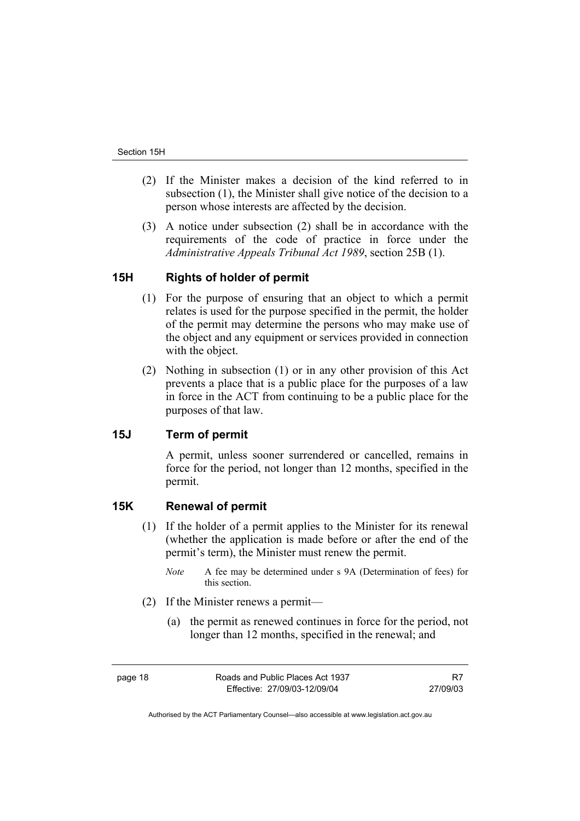- (2) If the Minister makes a decision of the kind referred to in subsection (1), the Minister shall give notice of the decision to a person whose interests are affected by the decision.
- (3) A notice under subsection (2) shall be in accordance with the requirements of the code of practice in force under the *Administrative Appeals Tribunal Act 1989*, section 25B (1).

# **15H Rights of holder of permit**

- (1) For the purpose of ensuring that an object to which a permit relates is used for the purpose specified in the permit, the holder of the permit may determine the persons who may make use of the object and any equipment or services provided in connection with the object.
- (2) Nothing in subsection (1) or in any other provision of this Act prevents a place that is a public place for the purposes of a law in force in the ACT from continuing to be a public place for the purposes of that law.

# **15J Term of permit**

A permit, unless sooner surrendered or cancelled, remains in force for the period, not longer than 12 months, specified in the permit.

#### **15K Renewal of permit**

- (1) If the holder of a permit applies to the Minister for its renewal (whether the application is made before or after the end of the permit's term), the Minister must renew the permit.
	- *Note* A fee may be determined under s 9A (Determination of fees) for this section.
- (2) If the Minister renews a permit—
	- (a) the permit as renewed continues in force for the period, not longer than 12 months, specified in the renewal; and

R7 27/09/03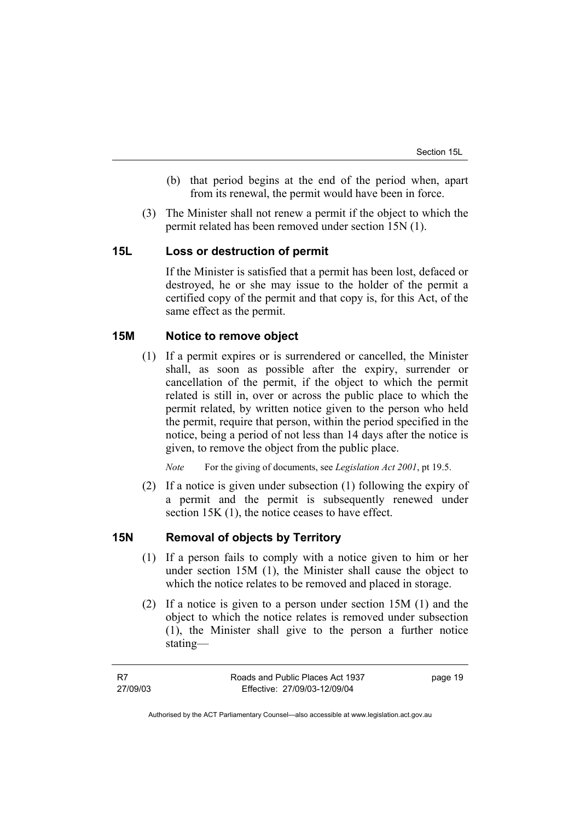- (b) that period begins at the end of the period when, apart from its renewal, the permit would have been in force.
- (3) The Minister shall not renew a permit if the object to which the permit related has been removed under section 15N (1).

#### **15L Loss or destruction of permit**

If the Minister is satisfied that a permit has been lost, defaced or destroyed, he or she may issue to the holder of the permit a certified copy of the permit and that copy is, for this Act, of the same effect as the permit.

### **15M Notice to remove object**

 (1) If a permit expires or is surrendered or cancelled, the Minister shall, as soon as possible after the expiry, surrender or cancellation of the permit, if the object to which the permit related is still in, over or across the public place to which the permit related, by written notice given to the person who held the permit, require that person, within the period specified in the notice, being a period of not less than 14 days after the notice is given, to remove the object from the public place.

*Note* For the giving of documents, see *Legislation Act 2001*, pt 19.5.

 (2) If a notice is given under subsection (1) following the expiry of a permit and the permit is subsequently renewed under section 15K (1), the notice ceases to have effect.

#### **15N Removal of objects by Territory**

- (1) If a person fails to comply with a notice given to him or her under section 15M (1), the Minister shall cause the object to which the notice relates to be removed and placed in storage.
- (2) If a notice is given to a person under section 15M (1) and the object to which the notice relates is removed under subsection (1), the Minister shall give to the person a further notice stating—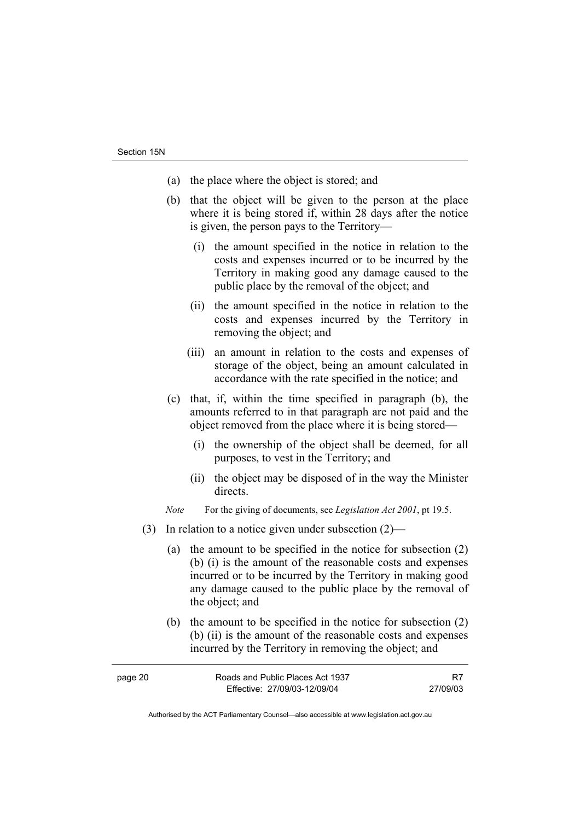- (a) the place where the object is stored; and
- (b) that the object will be given to the person at the place where it is being stored if, within 28 days after the notice is given, the person pays to the Territory—
	- (i) the amount specified in the notice in relation to the costs and expenses incurred or to be incurred by the Territory in making good any damage caused to the public place by the removal of the object; and
	- (ii) the amount specified in the notice in relation to the costs and expenses incurred by the Territory in removing the object; and
	- (iii) an amount in relation to the costs and expenses of storage of the object, being an amount calculated in accordance with the rate specified in the notice; and
- (c) that, if, within the time specified in paragraph (b), the amounts referred to in that paragraph are not paid and the object removed from the place where it is being stored—
	- (i) the ownership of the object shall be deemed, for all purposes, to vest in the Territory; and
	- (ii) the object may be disposed of in the way the Minister directs.
- *Note* For the giving of documents, see *Legislation Act 2001*, pt 19.5.
- (3) In relation to a notice given under subsection (2)—
	- (a) the amount to be specified in the notice for subsection (2) (b) (i) is the amount of the reasonable costs and expenses incurred or to be incurred by the Territory in making good any damage caused to the public place by the removal of the object; and
	- (b) the amount to be specified in the notice for subsection (2) (b) (ii) is the amount of the reasonable costs and expenses incurred by the Territory in removing the object; and

| page 20 | Roads and Public Places Act 1937 |          |
|---------|----------------------------------|----------|
|         | Effective: 27/09/03-12/09/04     | 27/09/03 |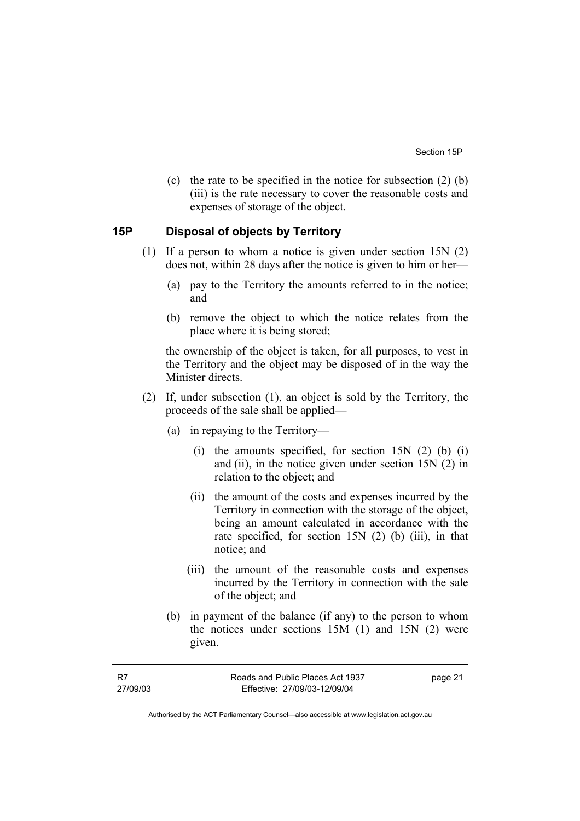(c) the rate to be specified in the notice for subsection (2) (b) (iii) is the rate necessary to cover the reasonable costs and expenses of storage of the object.

## **15P Disposal of objects by Territory**

- (1) If a person to whom a notice is given under section 15N (2) does not, within 28 days after the notice is given to him or her—
	- (a) pay to the Territory the amounts referred to in the notice; and
	- (b) remove the object to which the notice relates from the place where it is being stored;

the ownership of the object is taken, for all purposes, to vest in the Territory and the object may be disposed of in the way the Minister directs.

- (2) If, under subsection (1), an object is sold by the Territory, the proceeds of the sale shall be applied—
	- (a) in repaying to the Territory—
		- (i) the amounts specified, for section  $15N(2)$  (b) (i) and (ii), in the notice given under section 15N (2) in relation to the object; and
		- (ii) the amount of the costs and expenses incurred by the Territory in connection with the storage of the object, being an amount calculated in accordance with the rate specified, for section 15N (2) (b) (iii), in that notice; and
		- (iii) the amount of the reasonable costs and expenses incurred by the Territory in connection with the sale of the object; and
	- (b) in payment of the balance (if any) to the person to whom the notices under sections 15M (1) and 15N (2) were given.

page 21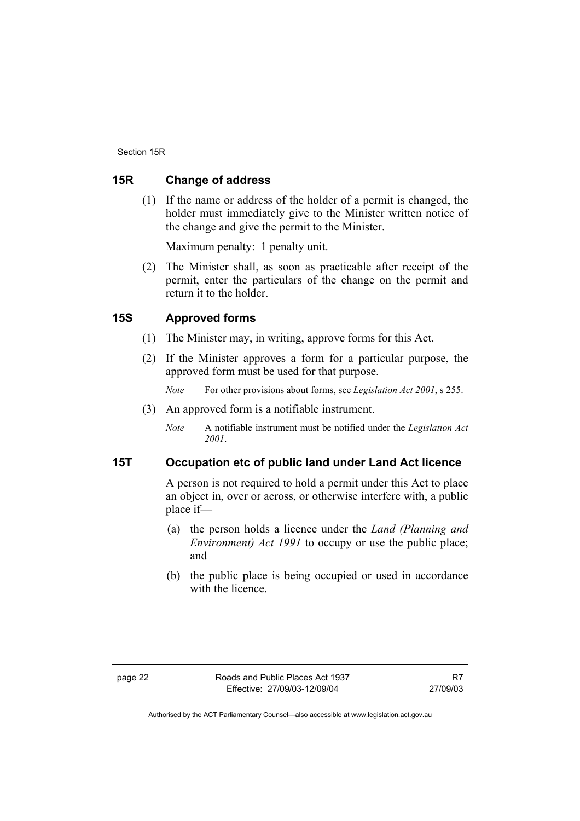## **15R Change of address**

 (1) If the name or address of the holder of a permit is changed, the holder must immediately give to the Minister written notice of the change and give the permit to the Minister.

Maximum penalty: 1 penalty unit.

 (2) The Minister shall, as soon as practicable after receipt of the permit, enter the particulars of the change on the permit and return it to the holder.

# **15S Approved forms**

- (1) The Minister may, in writing, approve forms for this Act.
- (2) If the Minister approves a form for a particular purpose, the approved form must be used for that purpose.

*Note* For other provisions about forms, see *Legislation Act 2001*, s 255.

- (3) An approved form is a notifiable instrument.
	- *Note* A notifiable instrument must be notified under the *Legislation Act 2001*.

#### **15T Occupation etc of public land under Land Act licence**

A person is not required to hold a permit under this Act to place an object in, over or across, or otherwise interfere with, a public place if—

- (a) the person holds a licence under the *Land (Planning and Environment) Act 1991* to occupy or use the public place; and
- (b) the public place is being occupied or used in accordance with the licence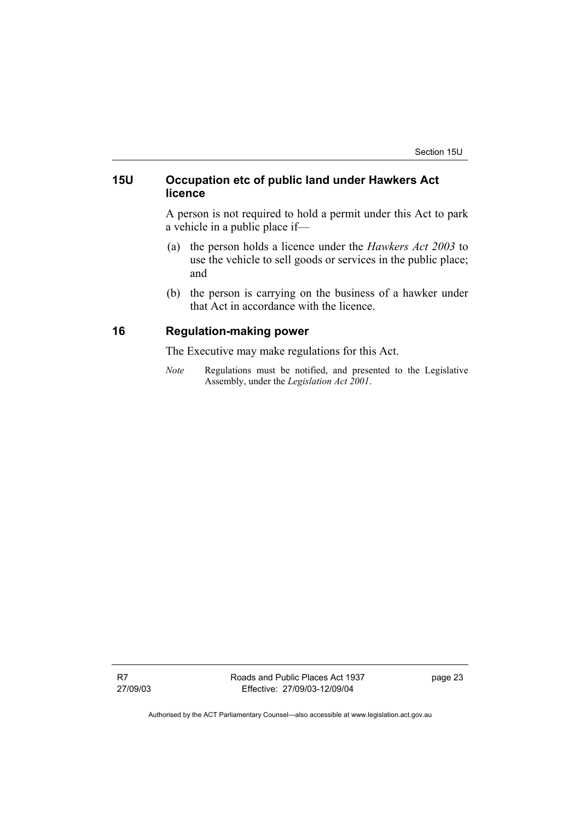# **15U Occupation etc of public land under Hawkers Act licence**

A person is not required to hold a permit under this Act to park a vehicle in a public place if—

- (a) the person holds a licence under the *Hawkers Act 2003* to use the vehicle to sell goods or services in the public place; and
- (b) the person is carrying on the business of a hawker under that Act in accordance with the licence.

# **16 Regulation-making power**

The Executive may make regulations for this Act.

*Note* Regulations must be notified, and presented to the Legislative Assembly, under the *Legislation Act 2001*.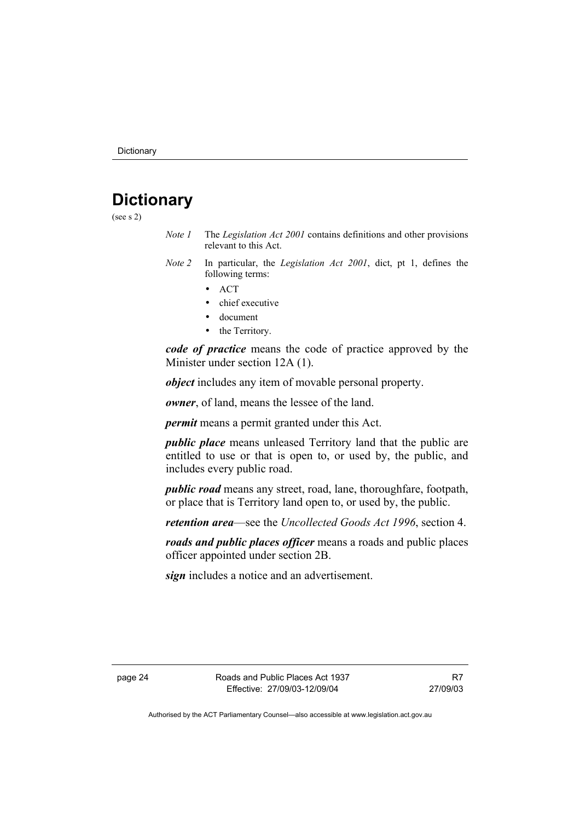# **Dictionary**

(see s 2)

- *Note 1* The *Legislation Act 2001* contains definitions and other provisions relevant to this Act.
- *Note 2* In particular, the *Legislation Act 2001*, dict, pt 1, defines the following terms:
	- ACT
	- chief executive
	- document
	- the Territory.

*code of practice* means the code of practice approved by the Minister under section 12A (1).

*object* includes any item of movable personal property.

*owner*, of land, means the lessee of the land.

*permit* means a permit granted under this Act.

*public place* means unleased Territory land that the public are entitled to use or that is open to, or used by, the public, and includes every public road.

*public road* means any street, road, lane, thoroughfare, footpath, or place that is Territory land open to, or used by, the public.

*retention area*—see the *Uncollected Goods Act 1996*, section 4.

*roads and public places officer* means a roads and public places officer appointed under section 2B.

*sign* includes a notice and an advertisement.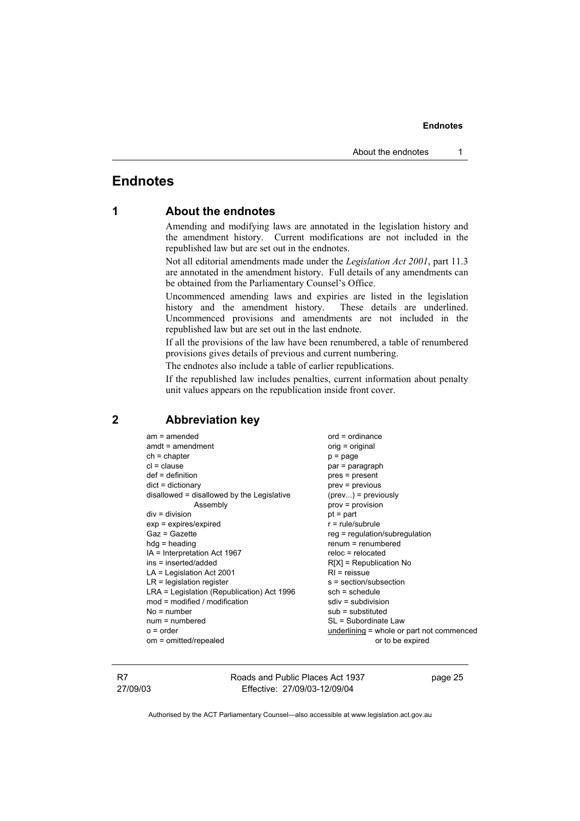# **Endnotes**

# **1 About the endnotes**

Amending and modifying laws are annotated in the legislation history and the amendment history. Current modifications are not included in the republished law but are set out in the endnotes.

Not all editorial amendments made under the *Legislation Act 2001*, part 11.3 are annotated in the amendment history. Full details of any amendments can be obtained from the Parliamentary Counsel's Office.

Uncommenced amending laws and expiries are listed in the legislation history and the amendment history. These details are underlined. Uncommenced provisions and amendments are not included in the republished law but are set out in the last endnote.

If all the provisions of the law have been renumbered, a table of renumbered provisions gives details of previous and current numbering.

The endnotes also include a table of earlier republications.

If the republished law includes penalties, current information about penalty unit values appears on the republication inside front cover.

#### **2 Abbreviation key**

am = amended ord = ordinance<br>amdt = amendment original ordinal ordinal ordinal  $amdt = amendment$  $ch = chapter$  p = page  $cl = clause$  par = paragraph def = definition end = pres = present<br>dict = dictionary end = previous disallowed = disallowed by the Legislative (prev...) = previously Assembly prov = provision  $div =$  division pt = part  $exp = exp$  ires/expired r = rule/subrule  $Gaz = Gazette$  reg = regulation/subregulation hdg = heading renum = renumbered  $IA =$  Interpretation Act 1967 ins = inserted/added R[X] = Republication No  $LA = Lea$  is a act 2001 RI = reissue  $LR =$  legislation register s = section/subsection LRA = Legislation (Republication) Act 1996 sch = schedule  $mod = modified / modification$  sdiv = subdivision  $No = number$  sub = substituted num = numbered SL = Subordinate Law o = order underlining = whole or part not commenced om = omitted/repealed or to be expired

 $\text{prev} = \text{previous}$ 

R7 27/09/03 Roads and Public Places Act 1937 Effective: 27/09/03-12/09/04

page 25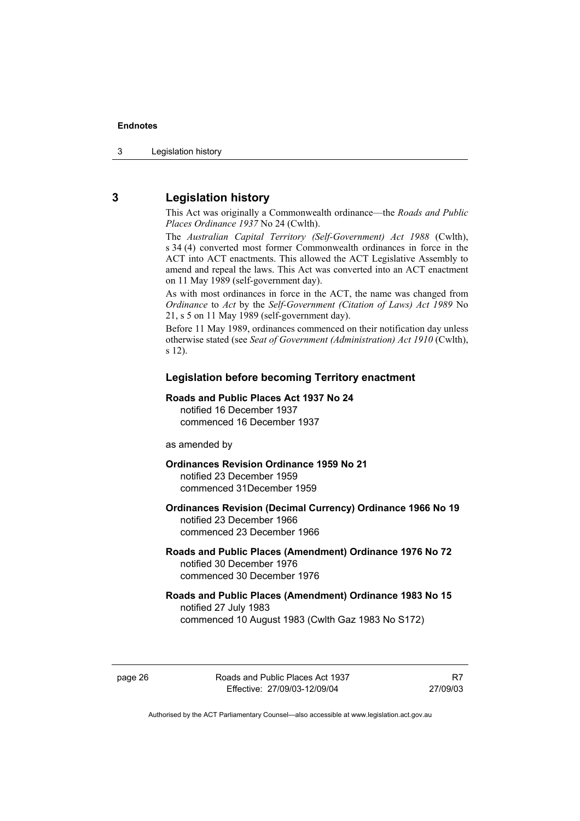# **3 Legislation history**

This Act was originally a Commonwealth ordinance—the *Roads and Public Places Ordinance 1937* No 24 (Cwlth).

The *Australian Capital Territory (Self-Government) Act 1988* (Cwlth), s 34 (4) converted most former Commonwealth ordinances in force in the ACT into ACT enactments. This allowed the ACT Legislative Assembly to amend and repeal the laws. This Act was converted into an ACT enactment on 11 May 1989 (self-government day).

As with most ordinances in force in the ACT, the name was changed from *Ordinance* to *Act* by the *Self-Government (Citation of Laws) Act 1989* No 21, s 5 on 11 May 1989 (self-government day).

Before 11 May 1989, ordinances commenced on their notification day unless otherwise stated (see *Seat of Government (Administration) Act 1910* (Cwlth), s 12).

#### **Legislation before becoming Territory enactment**

#### **Roads and Public Places Act 1937 No 24**  notified 16 December 1937

commenced 16 December 1937

as amended by

**Ordinances Revision Ordinance 1959 No 21**  notified 23 December 1959

commenced 31December 1959

#### **Ordinances Revision (Decimal Currency) Ordinance 1966 No 19**  notified 23 December 1966 commenced 23 December 1966

#### **Roads and Public Places (Amendment) Ordinance 1976 No 72**  notified 30 December 1976

commenced 30 December 1976

#### **Roads and Public Places (Amendment) Ordinance 1983 No 15**  notified 27 July 1983 commenced 10 August 1983 (Cwlth Gaz 1983 No S172)

page 26 Roads and Public Places Act 1937 Effective: 27/09/03-12/09/04

R7 27/09/03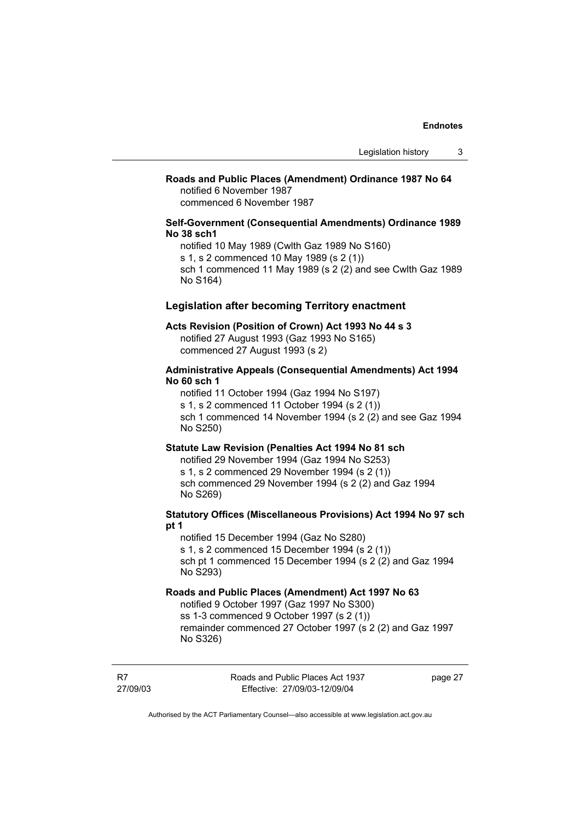#### **Roads and Public Places (Amendment) Ordinance 1987 No 64**  notified 6 November 1987

commenced 6 November 1987

#### **Self-Government (Consequential Amendments) Ordinance 1989 No 38 sch1**

notified 10 May 1989 (Cwlth Gaz 1989 No S160) s 1, s 2 commenced 10 May 1989 (s 2 (1)) sch 1 commenced 11 May 1989 (s 2 (2) and see Cwlth Gaz 1989 No S164)

#### **Legislation after becoming Territory enactment**

#### **Acts Revision (Position of Crown) Act 1993 No 44 s 3**

notified 27 August 1993 (Gaz 1993 No S165) commenced 27 August 1993 (s 2)

#### **Administrative Appeals (Consequential Amendments) Act 1994 No 60 sch 1**

notified 11 October 1994 (Gaz 1994 No S197) s 1, s 2 commenced 11 October 1994 (s 2 (1)) sch 1 commenced 14 November 1994 (s 2 (2) and see Gaz 1994 No S250)

#### **Statute Law Revision (Penalties Act 1994 No 81 sch**

notified 29 November 1994 (Gaz 1994 No S253) s 1, s 2 commenced 29 November 1994 (s 2 (1)) sch commenced 29 November 1994 (s 2 (2) and Gaz 1994 No S269)

#### **Statutory Offices (Miscellaneous Provisions) Act 1994 No 97 sch pt 1**

notified 15 December 1994 (Gaz No S280) s 1, s 2 commenced 15 December 1994 (s 2 (1)) sch pt 1 commenced 15 December 1994 (s 2 (2) and Gaz 1994 No S293)

#### **Roads and Public Places (Amendment) Act 1997 No 63**

notified 9 October 1997 (Gaz 1997 No S300) ss 1-3 commenced 9 October 1997 (s 2 (1)) remainder commenced 27 October 1997 (s 2 (2) and Gaz 1997 No S326)

R7 27/09/03 Roads and Public Places Act 1937 Effective: 27/09/03-12/09/04

page 27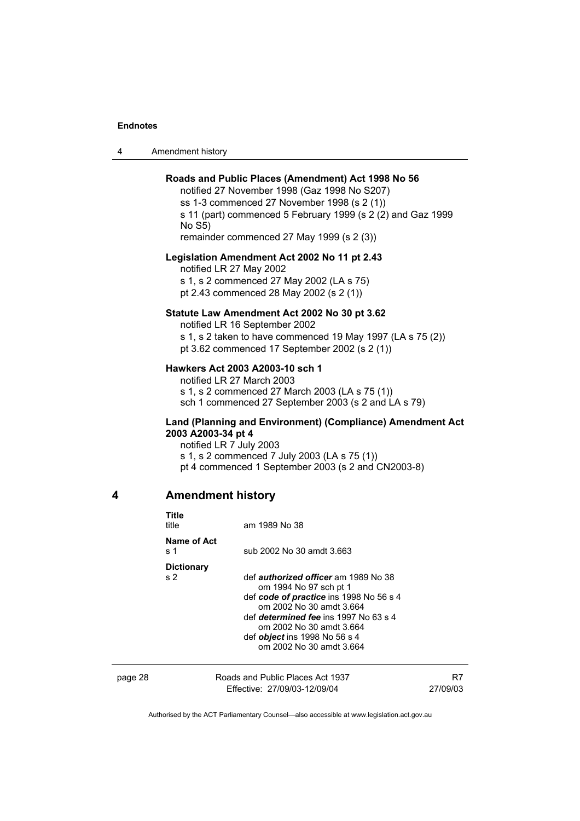4 Amendment history

#### **Roads and Public Places (Amendment) Act 1998 No 56**

notified 27 November 1998 (Gaz 1998 No S207) ss 1-3 commenced 27 November 1998 (s 2 (1)) s 11 (part) commenced 5 February 1999 (s 2 (2) and Gaz 1999 No S5)

remainder commenced 27 May 1999 (s 2 (3))

#### **Legislation Amendment Act 2002 No 11 pt 2.43**

notified LR 27 May 2002

s 1, s 2 commenced 27 May 2002 (LA s 75) pt 2.43 commenced 28 May 2002 (s 2 (1))

#### **Statute Law Amendment Act 2002 No 30 pt 3.62**

notified LR 16 September 2002

s 1, s 2 taken to have commenced 19 May 1997 (LA s 75 (2)) pt 3.62 commenced 17 September 2002 (s 2 (1))

#### **Hawkers Act 2003 A2003-10 sch 1**

notified LR 27 March 2003 s 1, s 2 commenced 27 March 2003 (LA s 75 (1)) sch 1 commenced 27 September 2003 (s 2 and LA s 79)

#### **Land (Planning and Environment) (Compliance) Amendment Act 2003 A2003-34 pt 4**

notified LR 7 July 2003 s 1, s 2 commenced 7 July 2003 (LA s 75 (1)) pt 4 commenced 1 September 2003 (s 2 and CN2003-8)

# **4 Amendment history**

**Title** 

| i itle<br>title                     | am 1989 No 38                                                                                                                                                                                                                                                                                |  |
|-------------------------------------|----------------------------------------------------------------------------------------------------------------------------------------------------------------------------------------------------------------------------------------------------------------------------------------------|--|
| Name of Act<br>s 1                  | sub 2002 No 30 amdt 3.663                                                                                                                                                                                                                                                                    |  |
| <b>Dictionary</b><br>s <sub>2</sub> | def <i>authorized officer</i> am 1989 No 38<br>om 1994 No 97 sch pt 1<br>def code of practice ins 1998 No 56 s 4<br>om 2002 No 30 amdt 3.664<br>def <i>determined fee</i> ins 1997 No 63 s 4<br>om 2002 No 30 amdt 3.664<br>def <i>object</i> ins 1998 No 56 s 4<br>om 2002 No 30 amdt 3.664 |  |
|                                     |                                                                                                                                                                                                                                                                                              |  |

| page 28 | Roads and Public Places Act 1937 | R7       |
|---------|----------------------------------|----------|
|         | Effective: 27/09/03-12/09/04     | 27/09/03 |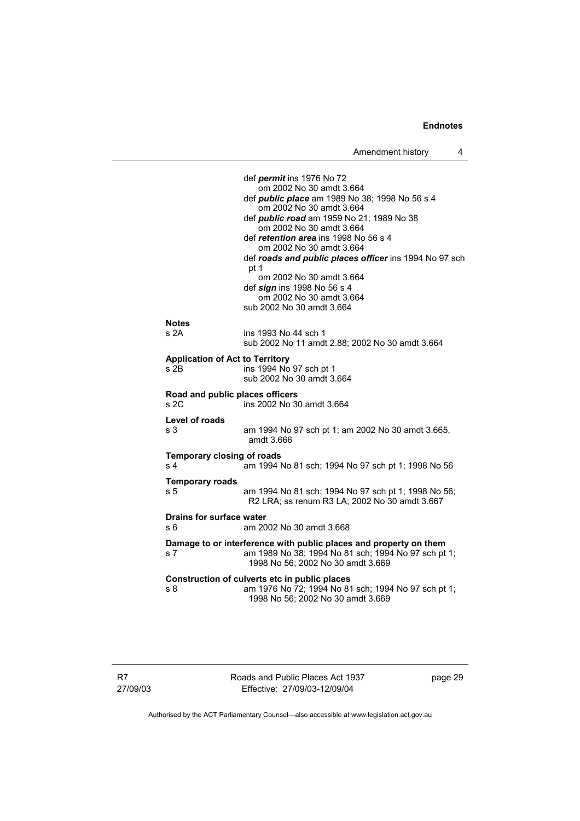def *permit* ins 1976 No 72 om 2002 No 30 amdt 3.664 def *public place* am 1989 No 38; 1998 No 56 s 4 om 2002 No 30 amdt 3.664 def *public road* am 1959 No 21; 1989 No 38 om 2002 No 30 amdt 3.664 def *retention area* ins 1998 No 56 s 4 om 2002 No 30 amdt 3.664 def *roads and public places officer* ins 1994 No 97 sch pt 1 om 2002 No 30 amdt 3.664 def *sign* ins 1998 No 56 s 4 om 2002 No 30 amdt 3.664 sub 2002 No 30 amdt 3.664 **Notes**  s 2A ins 1993 No 44 sch 1 sub 2002 No 11 amdt 2.88; 2002 No 30 amdt 3.664 **Application of Act to Territory**  s 2B ins 1994 No 97 sch pt 1 sub 2002 No 30 amdt 3.664 **Road and public places officers**  s 2C ins 2002 No 30 amdt 3.664 **Level of roads**  s 3 am 1994 No 97 sch pt 1; am 2002 No 30 amdt 3.665, amdt 3.666 **Temporary closing of roads**<br>s 4 am 1994  $\overline{5}$ am 1994 No 81 sch: 1994 No 97 sch pt 1: 1998 No 56 **Temporary roads**  s 5 am 1994 No 81 sch; 1994 No 97 sch pt 1; 1998 No 56; R2 LRA; ss renum R3 LA; 2002 No 30 amdt 3.667 **Drains for surface water**  s 6 am 2002 No 30 amdt 3.668 **Damage to or interference with public places and property on them**  s 7 am 1989 No 38; 1994 No 81 sch; 1994 No 97 sch pt 1; 1998 No 56; 2002 No 30 amdt 3.669 **Construction of culverts etc in public places**  s 8 am 1976 No 72; 1994 No 81 sch; 1994 No 97 sch pt 1; 1998 No 56; 2002 No 30 amdt 3.669

Roads and Public Places Act 1937 Effective: 27/09/03-12/09/04

page 29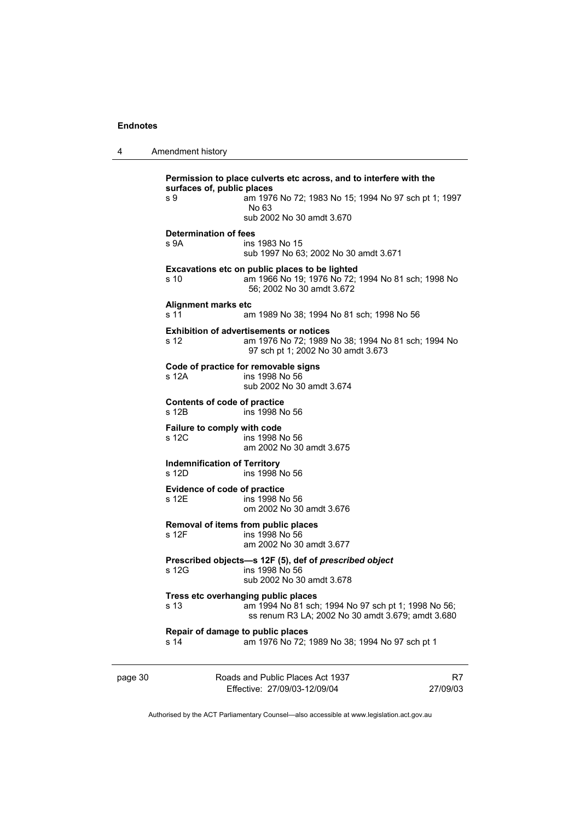| 4 | Amendment history |
|---|-------------------|
|---|-------------------|

**Permission to place culverts etc across, and to interfere with the surfaces of, public places**<br>am 1971<br>am 1971 am 1976 No 72; 1983 No 15; 1994 No 97 sch pt 1; 1997 No 63 sub 2002 No 30 amdt 3.670 **Determination of fees**  ins 1983 No 15 sub 1997 No 63; 2002 No 30 amdt 3.671 **Excavations etc on public places to be lighted**  s 10 am 1966 No 19; 1976 No 72; 1994 No 81 sch; 1998 No 56; 2002 No 30 amdt 3.672 **Alignment marks etc**  s 11 am 1989 No 38; 1994 No 81 sch; 1998 No 56 **Exhibition of advertisements or notices**  s 12 am 1976 No 72; 1989 No 38; 1994 No 81 sch; 1994 No 97 sch pt 1; 2002 No 30 amdt 3.673 **Code of practice for removable signs**  s 12A ins 1998 No 56 sub 2002 No 30 amdt 3.674 **Contents of code of practice**  ins 1998 No 56 **Failure to comply with code**  s 12C ins 1998 No 56 am 2002 No 30 amdt 3.675 **Indemnification of Territory**  ins 1998 No 56 **Evidence of code of practice**<br>s 12E ins 1998 N ins 1998 No 56 om 2002 No 30 amdt 3.676 **Removal of items from public places**  s 12F ins 1998 No 56 am 2002 No 30 amdt 3.677 **Prescribed objects—s 12F (5), def of** *prescribed object* **s 12G and** *s* **12G and** *s* **1998 No 56** s 12G ins 1998 No 56 sub 2002 No 30 amdt 3.678 **Tress etc overhanging public places**  s 13 am 1994 No 81 sch; 1994 No 97 sch pt 1; 1998 No 56; ss renum R3 LA; 2002 No 30 amdt 3.679; amdt 3.680 **Repair of damage to public places**  s 14 am 1976 No 72; 1989 No 38; 1994 No 97 sch pt 1

| page 30 | Roads and Public Places Act 1937 | R7       |
|---------|----------------------------------|----------|
|         | Effective: 27/09/03-12/09/04     | 27/09/03 |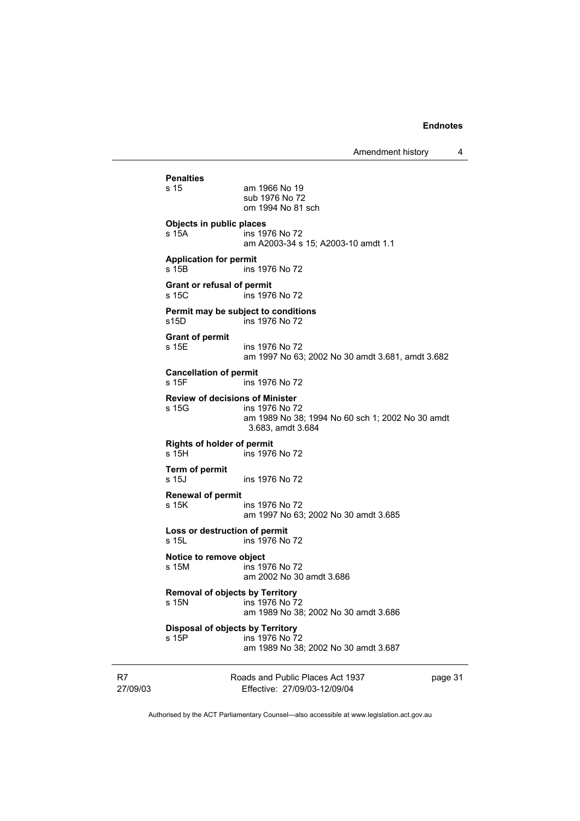Amendment history 4

Roads and Public Places Act 1937 **Penalties**  s 15 am 1966 No 19 sub 1976 No 72 om 1994 No 81 sch **Objects in public places**  s 15A ins 1976 No 72 am A2003-34 s 15; A2003-10 amdt 1.1 **Application for permit**  s 15B ins 1976 No 72 **Grant or refusal of permit**  s 15C ins 1976 No 72 **Permit may be subject to conditions**<br>\$15D ins 1976 No 72  $ins 1976$  No  $72$ **Grant of permit**  s 15E ins 1976 No 72 am 1997 No 63; 2002 No 30 amdt 3.681, amdt 3.682 **Cancellation of permit**<br>**s** 15F **ins** ins 1976 No 72 **Review of decisions of Minister**  s 15G ins 1976 No 72 am 1989 No 38; 1994 No 60 sch 1; 2002 No 30 amdt 3.683, amdt 3.684 **Rights of holder of permit**  s 15H ins 1976 No 72 **Term of permit**  s 15J ins 1976 No 72 **Renewal of permit**  ins 1976 No 72 am 1997 No 63; 2002 No 30 amdt 3.685 **Loss or destruction of permit**  s 15L ins 1976 No 72 **Notice to remove object**  ins 1976 No 72 am 2002 No 30 amdt 3.686 **Removal of objects by Territory**  s 15N ins 1976 No 72 am 1989 No 38; 2002 No 30 amdt 3.686 **Disposal of objects by Territory**<br> **s** 15P **ins** 1976 No 7 ins 1976 No 72 am 1989 No 38; 2002 No 30 amdt 3.687

R7 27/09/03

Effective: 27/09/03-12/09/04

page 31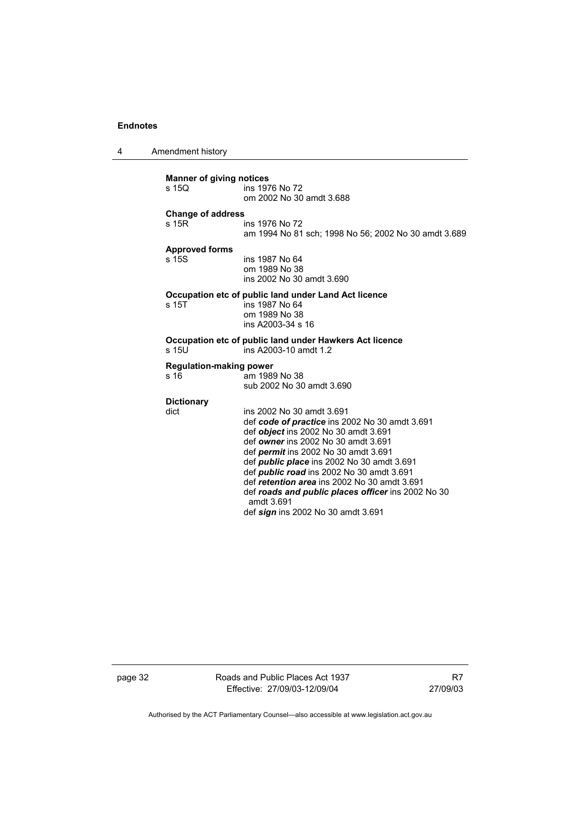4 Amendment history

|                       | <b>Manner of giving notices</b>                         |                                                                                    |  |  |
|-----------------------|---------------------------------------------------------|------------------------------------------------------------------------------------|--|--|
|                       | s 15Q                                                   | ins 1976 No 72                                                                     |  |  |
|                       |                                                         | om 2002 No 30 amdt 3.688                                                           |  |  |
|                       | <b>Change of address</b>                                |                                                                                    |  |  |
|                       | s 15R                                                   | ins 1976 No 72                                                                     |  |  |
|                       |                                                         | am 1994 No 81 sch; 1998 No 56; 2002 No 30 amdt 3.689                               |  |  |
| <b>Approved forms</b> |                                                         |                                                                                    |  |  |
|                       | s 15S                                                   | ins 1987 No 64                                                                     |  |  |
|                       |                                                         | om 1989 No 38                                                                      |  |  |
|                       |                                                         | ins 2002 No 30 amdt 3.690                                                          |  |  |
|                       | Occupation etc of public land under Land Act licence    |                                                                                    |  |  |
|                       | s 15T                                                   | ins 1987 No 64                                                                     |  |  |
|                       |                                                         | om 1989 No 38                                                                      |  |  |
|                       |                                                         | ins A2003-34 s 16                                                                  |  |  |
|                       |                                                         |                                                                                    |  |  |
|                       | Occupation etc of public land under Hawkers Act licence |                                                                                    |  |  |
|                       | s 15U                                                   | ins A2003-10 amdt 1.2                                                              |  |  |
|                       | <b>Regulation-making power</b>                          |                                                                                    |  |  |
|                       | s 16                                                    | am 1989 No 38                                                                      |  |  |
|                       |                                                         | sub 2002 No 30 amdt 3.690                                                          |  |  |
|                       |                                                         |                                                                                    |  |  |
|                       | <b>Dictionary</b><br>dict                               | ins 2002 No 30 amdt 3.691                                                          |  |  |
|                       |                                                         | def code of practice ins 2002 No 30 amdt 3.691                                     |  |  |
|                       |                                                         |                                                                                    |  |  |
|                       |                                                         | def <i>object</i> ins 2002 No 30 amdt 3.691<br>def owner ins 2002 No 30 amdt 3.691 |  |  |
|                       |                                                         |                                                                                    |  |  |
|                       |                                                         | def <i>permit</i> ins 2002 No 30 amdt 3.691                                        |  |  |
|                       |                                                         | def <i>public place</i> ins 2002 No 30 amdt 3.691                                  |  |  |
|                       |                                                         | def public road ins 2002 No 30 amdt 3.691                                          |  |  |
|                       |                                                         | def retention area ins 2002 No 30 amdt 3.691                                       |  |  |
|                       |                                                         | def roads and public places officer ins 2002 No 30<br>amdt 3.691                   |  |  |
|                       |                                                         | def sign ins 2002 No 30 amdt 3.691                                                 |  |  |
|                       |                                                         |                                                                                    |  |  |

page 32 Roads and Public Places Act 1937 Effective: 27/09/03-12/09/04